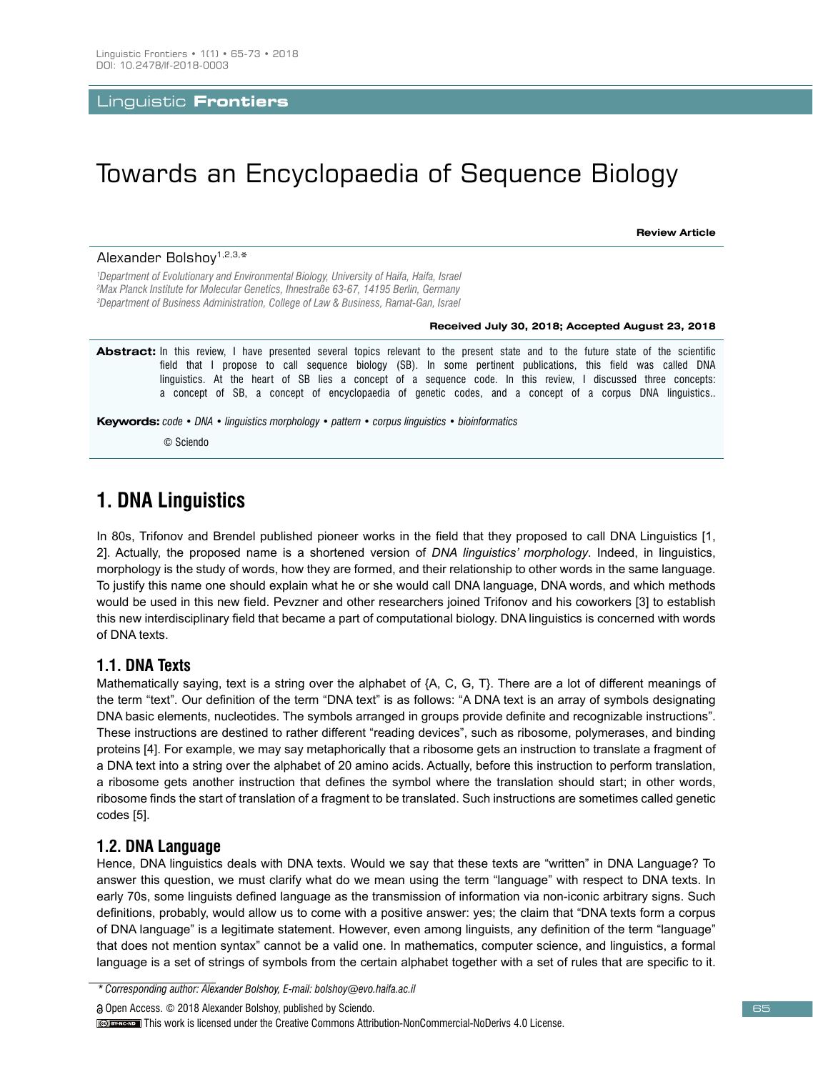Linguistic **Frontiers**

# Towards an Encyclopaedia of Sequence Biology

**Review Article**

 *Department of Evolutionary and Environmental Biology, University of Haifa, Haifa, Israel Max Planck Institute for Molecular Genetics, Ihnestraße 63-67, 14195 Berlin, Germany Department of Business Administration, College of Law & Business, Ramat-Gan, Israel* Alexander Bolshoy1,2,3,\*

#### **Received July 30, 2018; Accepted August 23, 2018**

**Abstract:** In this review, I have presented several topics relevant to the present state and to the future state of the scientific field that I propose to call sequence biology (SB). In some pertinent publications, this field was called DNA linguistics. At the heart of SB lies a concept of a sequence code. In this review, I discussed three concepts: a concept of SB, a concept of encyclopaedia of genetic codes, and a concept of a corpus DNA linguistics..

**Keywords:** *code • DNA • linguistics morphology • pattern • corpus linguistics • bioinformatics*

© Sciendo

# **1. DNA Linguistics**

In 80s, Trifonov and Brendel published pioneer works in the field that they proposed to call DNA Linguistics [1, 2]. Actually, the proposed name is a shortened version of *DNA linguistics' morphology*. Indeed, in linguistics, morphology is the study of words, how they are formed, and their relationship to other words in the same language. To justify this name one should explain what he or she would call DNA language, DNA words, and which methods would be used in this new field. Pevzner and other researchers joined Trifonov and his coworkers [3] to establish this new interdisciplinary field that became a part of computational biology. DNA linguistics is concerned with words of DNA texts.

## **1.1. DNA Texts**

Mathematically saying, text is a string over the alphabet of {A, C, G, T}. There are a lot of different meanings of the term "text". Our definition of the term "DNA text" is as follows: "A DNA text is an array of symbols designating DNA basic elements, nucleotides. The symbols arranged in groups provide definite and recognizable instructions". These instructions are destined to rather different "reading devices", such as ribosome, polymerases, and binding proteins [4]. For example, we may say metaphorically that a ribosome gets an instruction to translate a fragment of a DNA text into a string over the alphabet of 20 amino acids. Actually, before this instruction to perform translation, a ribosome gets another instruction that defines the symbol where the translation should start; in other words, ribosome finds the start of translation of a fragment to be translated. Such instructions are sometimes called genetic codes [5].

## **1.2. DNA Language**

Hence, DNA linguistics deals with DNA texts. Would we say that these texts are "written" in DNA Language? To answer this question, we must clarify what do we mean using the term "language" with respect to DNA texts. In early 70s, some linguists defined language as the transmission of information via non-iconic arbitrary signs. Such definitions, probably, would allow us to come with a positive answer: yes; the claim that "DNA texts form a corpus of DNA language" is a legitimate statement. However, even among linguists, any definition of the term "language" that does not mention syntax" cannot be a valid one. In mathematics, computer science, and linguistics, a formal language is a set of strings of symbols from the certain alphabet together with a set of rules that are specific to it.

*\* Corresponding author: Alexander Bolshoy, E-mail: bolshoy@evo.haifa.ac.il*

Open Access. © 2018 Alexander Bolshoy, published by Sciendo.

This work is licensed under the Creative Commons Attribution-NonCommercial-NoDerivs 4.0 License.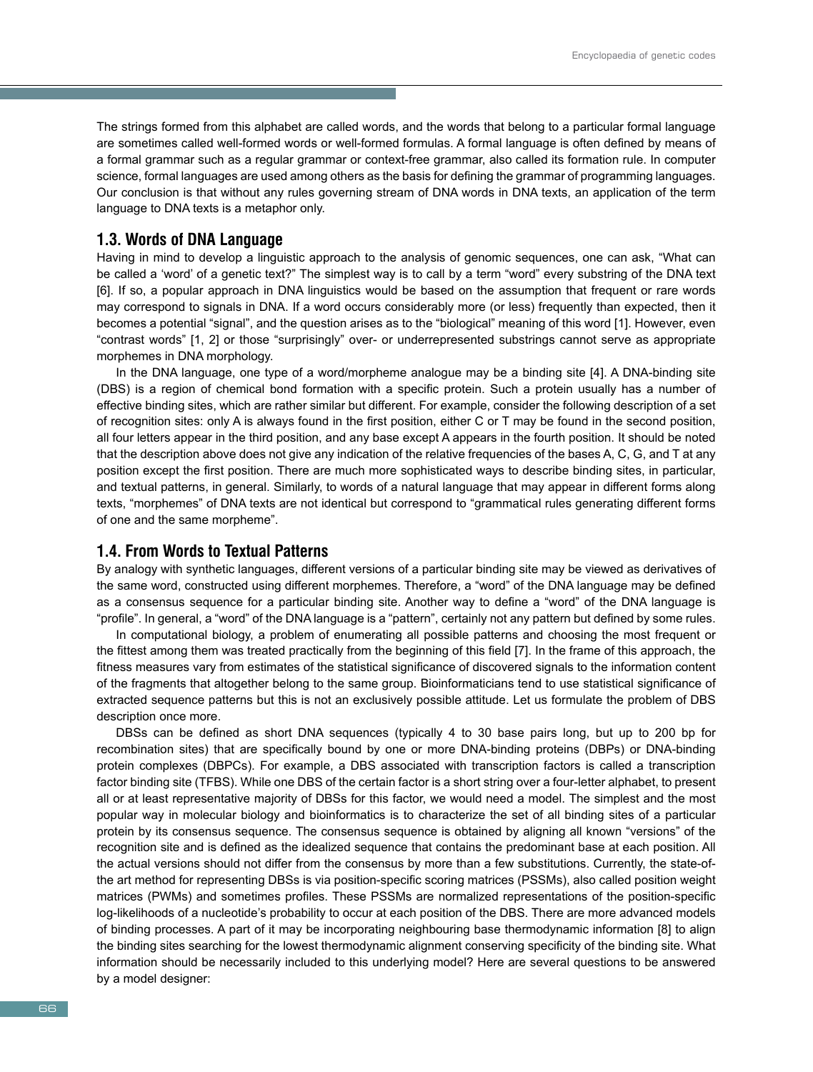The strings formed from this alphabet are called words, and the words that belong to a particular formal language are sometimes called well-formed words or well-formed formulas. A formal language is often defined by means of a formal grammar such as a regular grammar or context-free grammar, also called its formation rule. In computer science, formal languages are used among others as the basis for defining the grammar of programming languages. Our conclusion is that without any rules governing stream of DNA words in DNA texts, an application of the term language to DNA texts is a metaphor only.

# **1.3. Words of DNA Language**

Having in mind to develop a linguistic approach to the analysis of genomic sequences, one can ask, "What can be called a 'word' of a genetic text?" The simplest way is to call by a term "word" every substring of the DNA text [6]. If so, a popular approach in DNA linguistics would be based on the assumption that frequent or rare words may correspond to signals in DNA. If a word occurs considerably more (or less) frequently than expected, then it becomes a potential "signal", and the question arises as to the "biological" meaning of this word [1]. However, even "contrast words" [1, 2] or those "surprisingly" over- or underrepresented substrings cannot serve as appropriate morphemes in DNA morphology.

In the DNA language, one type of a word/morpheme analogue may be a binding site [4]. A DNA-binding site (DBS) is a region of chemical bond formation with a specific protein. Such a protein usually has a number of effective binding sites, which are rather similar but different. For example, consider the following description of a set of recognition sites: only A is always found in the first position, either C or T may be found in the second position, all four letters appear in the third position, and any base except A appears in the fourth position. It should be noted that the description above does not give any indication of the relative frequencies of the bases A, C, G, and T at any position except the first position. There are much more sophisticated ways to describe binding sites, in particular, and textual patterns, in general. Similarly, to words of a natural language that may appear in different forms along texts, "morphemes" of DNA texts are not identical but correspond to "grammatical rules generating different forms of one and the same morpheme".

### **1.4. From Words to Textual Patterns**

By analogy with synthetic languages, different versions of a particular binding site may be viewed as derivatives of the same word, constructed using different morphemes. Therefore, a "word" of the DNA language may be defined as a consensus sequence for a particular binding site. Another way to define a "word" of the DNA language is "profile". In general, a "word" of the DNA language is a "pattern", certainly not any pattern but defined by some rules.

In computational biology, a problem of enumerating all possible patterns and choosing the most frequent or the fittest among them was treated practically from the beginning of this field [7]. In the frame of this approach, the fitness measures vary from estimates of the statistical significance of discovered signals to the information content of the fragments that altogether belong to the same group. Bioinformaticians tend to use statistical significance of extracted sequence patterns but this is not an exclusively possible attitude. Let us formulate the problem of DBS description once more.

DBSs can be defined as short DNA sequences (typically 4 to 30 base pairs long, but up to 200 bp for recombination sites) that are specifically bound by one or more DNA-binding proteins (DBPs) or DNA-binding protein complexes (DBPCs). For example, a DBS associated with transcription factors is called a transcription factor binding site (TFBS). While one DBS of the certain factor is a short string over a four-letter alphabet, to present all or at least representative majority of DBSs for this factor, we would need a model. The simplest and the most popular way in molecular biology and bioinformatics is to characterize the set of all binding sites of a particular protein by its consensus sequence. The consensus sequence is obtained by aligning all known "versions" of the recognition site and is defined as the idealized sequence that contains the predominant base at each position. All the actual versions should not differ from the consensus by more than a few substitutions. Currently, the state-ofthe art method for representing DBSs is via position-specific scoring matrices (PSSMs), also called position weight matrices (PWMs) and sometimes profiles. These PSSMs are normalized representations of the position-specific log-likelihoods of a nucleotide's probability to occur at each position of the DBS. There are more advanced models of binding processes. A part of it may be incorporating neighbouring base thermodynamic information [8] to align the binding sites searching for the lowest thermodynamic alignment conserving specificity of the binding site. What information should be necessarily included to this underlying model? Here are several questions to be answered by a model designer: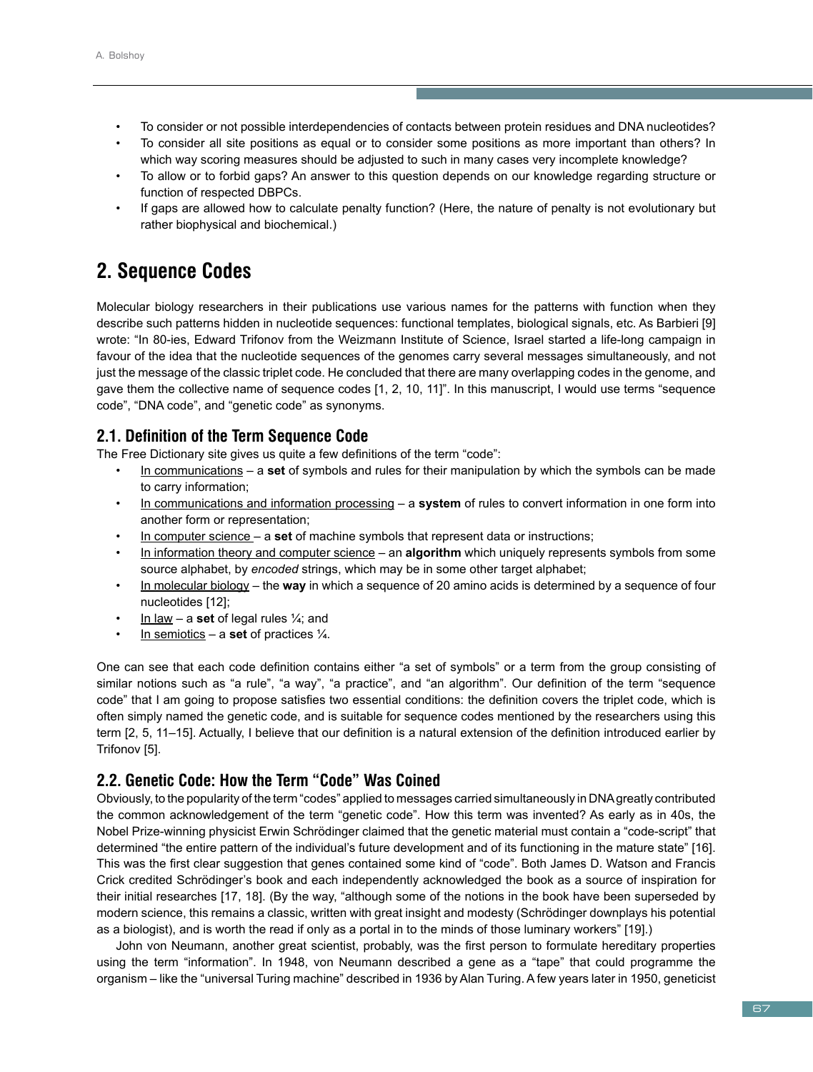- To consider or not possible interdependencies of contacts between protein residues and DNA nucleotides?
- To consider all site positions as equal or to consider some positions as more important than others? In which way scoring measures should be adjusted to such in many cases very incomplete knowledge?
- To allow or to forbid gaps? An answer to this question depends on our knowledge regarding structure or function of respected DBPCs.
- If gaps are allowed how to calculate penalty function? (Here, the nature of penalty is not evolutionary but rather biophysical and biochemical.)

# **2. Sequence Codes**

Molecular biology researchers in their publications use various names for the patterns with function when they describe such patterns hidden in nucleotide sequences: functional templates, biological signals, etc. As Barbieri [9] wrote: "In 80-ies, Edward Trifonov from the Weizmann Institute of Science, Israel started a life-long campaign in favour of the idea that the nucleotide sequences of the genomes carry several messages simultaneously, and not just the message of the classic triplet code. He concluded that there are many overlapping codes in the genome, and gave them the collective name of sequence codes [1, 2, 10, 11]". In this manuscript, I would use terms "sequence code", "DNA code", and "genetic code" as synonyms.

# **2.1. Definition of the Term Sequence Code**

The Free Dictionary site gives us quite a few definitions of the term "code":

- In communications a **set** of symbols and rules for their manipulation by which the symbols can be made to carry information;
- In communications and information processing a **system** of rules to convert information in one form into another form or representation;
- In computer science a **set** of machine symbols that represent data or instructions;
- In information theory and computer science an **algorithm** which uniquely represents symbols from some source alphabet, by *encoded* strings, which may be in some other target alphabet;
- In molecular biology the **way** in which a sequence of 20 amino acids is determined by a sequence of four nucleotides [12];
- In law a **set** of legal rules ¼; and
- In semiotics a **set** of practices  $\frac{1}{4}$ .

One can see that each code definition contains either "a set of symbols" or a term from the group consisting of similar notions such as "a rule", "a way", "a practice", and "an algorithm". Our definition of the term "sequence code" that I am going to propose satisfies two essential conditions: the definition covers the triplet code, which is often simply named the genetic code, and is suitable for sequence codes mentioned by the researchers using this term [2, 5, 11–15]. Actually, I believe that our definition is a natural extension of the definition introduced earlier by Trifonov [5].

# **2.2. Genetic Code: How the Term "Code" Was Coined**

Obviously, to the popularity of the term "codes" applied to messages carried simultaneously in DNA greatly contributed the common acknowledgement of the term "genetic code". How this term was invented? As early as in 40s, the Nobel Prize-winning physicist Erwin Schrödinger claimed that the genetic material must contain a "code-script" that determined "the entire pattern of the individual's future development and of its functioning in the mature state" [16]. This was the first clear suggestion that genes contained some kind of "code". Both James D. Watson and Francis Crick credited Schrödinger's book and each independently acknowledged the book as a source of inspiration for their initial researches [17, 18]. (By the way, "although some of the notions in the book have been superseded by modern science, this remains a classic, written with great insight and modesty (Schrödinger downplays his potential as a biologist), and is worth the read if only as a portal in to the minds of those luminary workers" [19].)

John von Neumann, another great scientist, probably, was the first person to formulate hereditary properties using the term "information". In 1948, von Neumann described a gene as a "tape" that could programme the organism – like the "universal Turing machine" described in 1936 by Alan Turing. A few years later in 1950, geneticist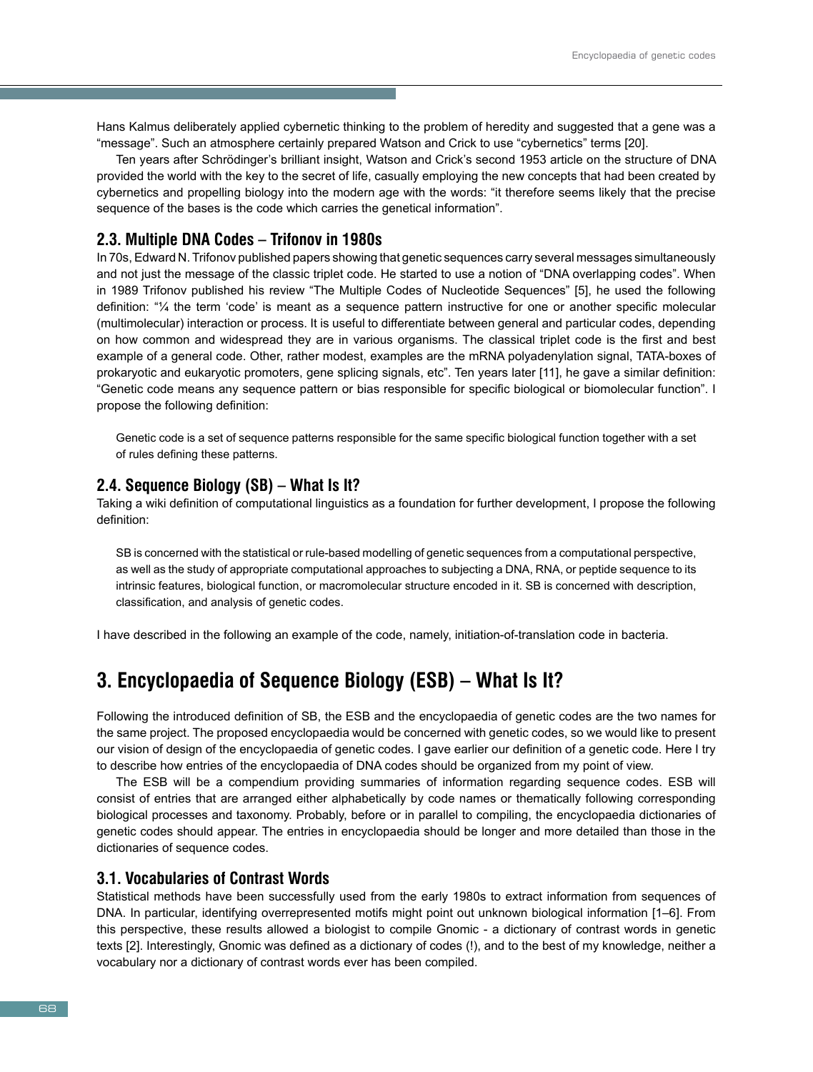Hans Kalmus deliberately applied cybernetic thinking to the problem of heredity and suggested that a gene was a "message". Such an atmosphere certainly prepared Watson and Crick to use "cybernetics" terms [20].

Ten years after Schrödinger's brilliant insight, Watson and Crick's second 1953 article on the structure of DNA provided the world with the key to the secret of life, casually employing the new concepts that had been created by cybernetics and propelling biology into the modern age with the words: "it therefore seems likely that the precise sequence of the bases is the code which carries the genetical information".

# **2.3. Multiple DNA Codes – Trifonov in 1980s**

In 70s, Edward N. Trifonov published papers showing that genetic sequences carry several messages simultaneously and not just the message of the classic triplet code. He started to use a notion of "DNA overlapping codes". When in 1989 Trifonov published his review "The Multiple Codes of Nucleotide Sequences" [5], he used the following definition: "¼ the term 'code' is meant as a sequence pattern instructive for one or another specific molecular (multimolecular) interaction or process. It is useful to differentiate between general and particular codes, depending on how common and widespread they are in various organisms. The classical triplet code is the first and best example of a general code. Other, rather modest, examples are the mRNA polyadenylation signal, TATA-boxes of prokaryotic and eukaryotic promoters, gene splicing signals, etc". Ten years later [11], he gave a similar definition: "Genetic code means any sequence pattern or bias responsible for specific biological or biomolecular function". I propose the following definition:

Genetic code is a set of sequence patterns responsible for the same specific biological function together with a set of rules defining these patterns.

#### **2.4. Sequence Biology (SB) – What Is It?**

Taking a wiki definition of computational linguistics as a foundation for further development, I propose the following definition:

SB is concerned with the statistical or rule-based modelling of genetic sequences from a computational perspective, as well as the study of appropriate computational approaches to subjecting a DNA, RNA, or peptide sequence to its intrinsic features, biological function, or macromolecular structure encoded in it. SB is concerned with description, classification, and analysis of genetic codes.

I have described in the following an example of the code, namely, initiation-of-translation code in bacteria.

# **3. Encyclopaedia of Sequence Biology (ESB) – What Is It?**

Following the introduced definition of SB, the ESB and the encyclopaedia of genetic codes are the two names for the same project. The proposed encyclopaedia would be concerned with genetic codes, so we would like to present our vision of design of the encyclopaedia of genetic codes. I gave earlier our definition of a genetic code. Here I try to describe how entries of the encyclopaedia of DNA codes should be organized from my point of view.

The ESB will be a compendium providing summaries of information regarding sequence codes. ESB will consist of entries that are arranged either alphabetically by code names or thematically following corresponding biological processes and taxonomy. Probably, before or in parallel to compiling, the encyclopaedia dictionaries of genetic codes should appear. The entries in encyclopaedia should be longer and more detailed than those in the dictionaries of sequence codes.

#### **3.1. Vocabularies of Contrast Words**

Statistical methods have been successfully used from the early 1980s to extract information from sequences of DNA. In particular, identifying overrepresented motifs might point out unknown biological information [1–6]. From this perspective, these results allowed a biologist to compile Gnomic - a dictionary of contrast words in genetic texts [2]. Interestingly, Gnomic was defined as a dictionary of codes (!), and to the best of my knowledge, neither a vocabulary nor a dictionary of contrast words ever has been compiled.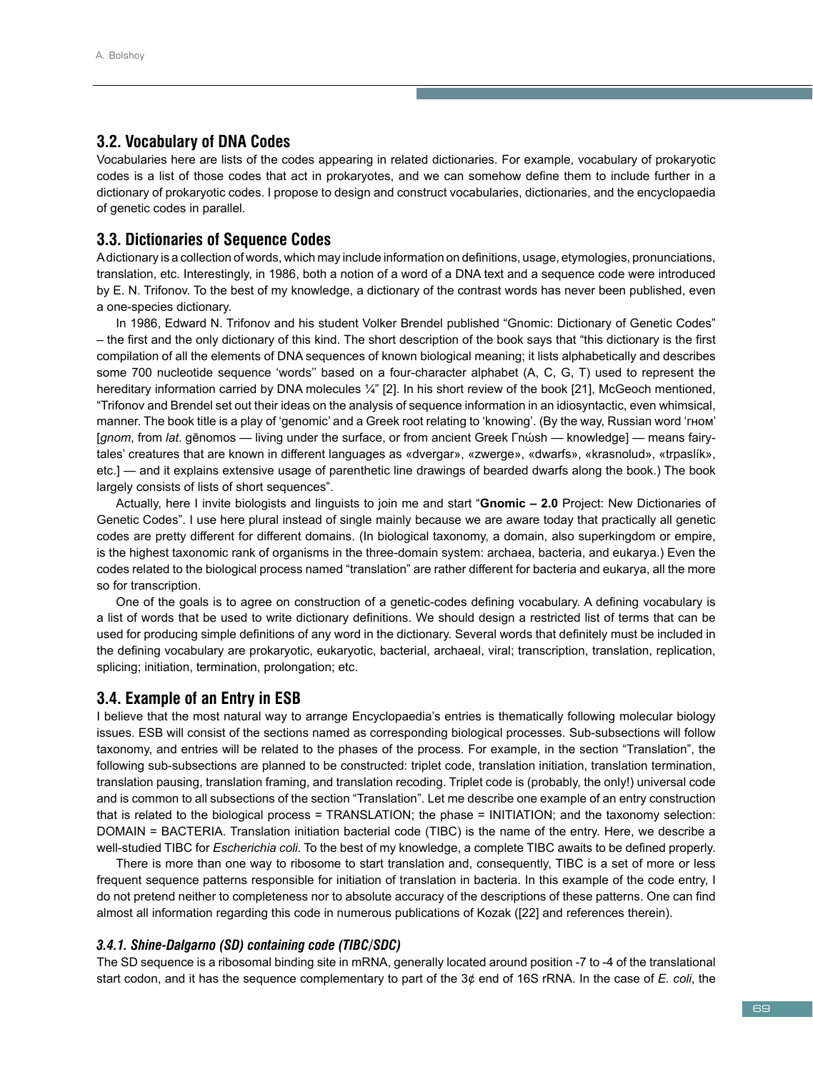# **3.2. Vocabulary of DNA Codes**

Vocabularies here are lists of the codes appearing in related dictionaries. For example, vocabulary of prokaryotic codes is a list of those codes that act in prokaryotes, and we can somehow define them to include further in a dictionary of prokaryotic codes. I propose to design and construct vocabularies, dictionaries, and the encyclopaedia of genetic codes in parallel.

# **3.3. Dictionaries of Sequence Codes**

A dictionary is a collection of words, which may include information on definitions, usage, etymologies, pronunciations, translation, etc. Interestingly, in 1986, both a notion of a word of a DNA text and a sequence code were introduced by E. N. Trifonov. To the best of my knowledge, a dictionary of the contrast words has never been published, even a one-species dictionary.

In 1986, Edward N. Trifonov and his student Volker Brendel published "Gnomic: Dictionary of Genetic Codes" – the first and the only dictionary of this kind. The short description of the book says that "this dictionary is the first compilation of all the elements of DNA sequences of known biological meaning; it lists alphabetically and describes some 700 nucleotide sequence 'words'' based on a four-character alphabet (A, C, G, T) used to represent the hereditary information carried by DNA molecules  $\frac{1}{4}$ " [2]. In his short review of the book [21], McGeoch mentioned, "Trifonov and Brendel set out their ideas on the analysis of sequence information in an idiosyntactic, even whimsical, manner. The book title is a play of 'genomic' and a Greek root relating to 'knowing'. (By the way, Russian word 'гном' [*gnom*, from *lat*. gēnomos — living under the surface, or from ancient Greek Γnώsh — knowledge] — means fairytales' creatures that are known in different languages as «dvergar», «zwerge», «dwarfs», «krasnolud», «trpaslík», etc.] — and it explains extensive usage of parenthetic line drawings of bearded dwarfs along the book.) The book largely consists of lists of short sequences".

Actually, here I invite biologists and linguists to join me and start "**Gnomic – 2.0** Project: New Dictionaries of Genetic Codes". I use here plural instead of single mainly because we are aware today that practically all genetic codes are pretty different for different domains. (In biological taxonomy, a domain, also superkingdom or empire, is the highest taxonomic rank of organisms in the three-domain system: archaea, bacteria, and eukarya.) Even the codes related to the biological process named "translation" are rather different for bacteria and eukarya, all the more so for transcription.

One of the goals is to agree on construction of a genetic-codes defining vocabulary. A defining vocabulary is a list of words that be used to write dictionary definitions. We should design a restricted list of terms that can be used for producing simple definitions of any word in the dictionary. Several words that definitely must be included in the defining vocabulary are prokaryotic, eukaryotic, bacterial, archaeal, viral; transcription, translation, replication, splicing; initiation, termination, prolongation; etc.

## **3.4. Example of an Entry in ESB**

I believe that the most natural way to arrange Encyclopaedia's entries is thematically following molecular biology issues. ESB will consist of the sections named as corresponding biological processes. Sub-subsections will follow taxonomy, and entries will be related to the phases of the process. For example, in the section "Translation", the following sub-subsections are planned to be constructed: triplet code, translation initiation, translation termination, translation pausing, translation framing, and translation recoding. Triplet code is (probably, the only!) universal code and is common to all subsections of the section "Translation". Let me describe one example of an entry construction that is related to the biological process = TRANSLATION; the phase = INITIATION; and the taxonomy selection: DOMAIN = BACTERIA. Translation initiation bacterial code (TIBC) is the name of the entry. Here, we describe a well-studied TIBC for *Escherichia coli*. To the best of my knowledge, a complete TIBC awaits to be defined properly.

There is more than one way to ribosome to start translation and, consequently, TIBC is a set of more or less frequent sequence patterns responsible for initiation of translation in bacteria. In this example of the code entry, I do not pretend neither to completeness nor to absolute accuracy of the descriptions of these patterns. One can find almost all information regarding this code in numerous publications of Kozak ([22] and references therein).

#### *3.4.1. Shine-Dalgarno (SD) containing code (TIBC/SDC)*

The SD sequence is a ribosomal binding site in mRNA, generally located around position -7 to -4 of the translational start codon, and it has the sequence complementary to part of the 3¢ end of 16S rRNA. In the case of *E. coli*, the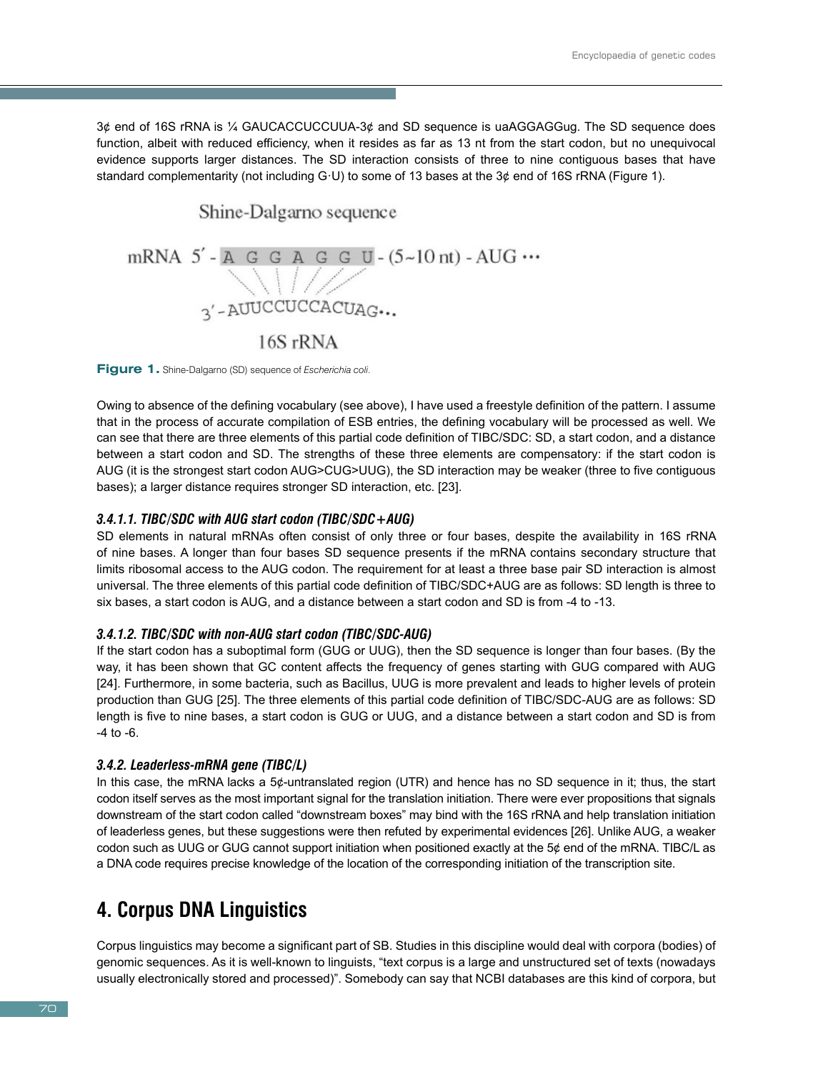3¢ end of 16S rRNA is ¼ GAUCACCUCCUUA-3¢ and SD sequence is uaAGGAGGug. The SD sequence does function, albeit with reduced efficiency, when it resides as far as 13 nt from the start codon, but no unequivocal evidence supports larger distances. The SD interaction consists of three to nine contiguous bases that have standard complementarity (not including G·U) to some of 13 bases at the 3¢ end of 16S rRNA (Figure 1).

# Shine-Dalgarno sequence mRNA 5'-A G G A G G U-(5~10 nt) - AUG ...  $\bigvee_{3' \text{-}\text{AUUCCUCCACUAG...}}$ 16S rRNA

**Figure 1.** Shine-Dalgarno (SD) sequence of *Escherichia coli*.

Owing to absence of the defining vocabulary (see above), I have used a freestyle definition of the pattern. I assume that in the process of accurate compilation of ESB entries, the defining vocabulary will be processed as well. We can see that there are three elements of this partial code definition of TIBC/SDC: SD, a start codon, and a distance between a start codon and SD. The strengths of these three elements are compensatory: if the start codon is AUG (it is the strongest start codon AUG>CUG>UUG), the SD interaction may be weaker (three to five contiguous bases); a larger distance requires stronger SD interaction, etc. [23].

#### *3.4.1.1. TIBC/SDC with AUG start codon (TIBC/SDC+AUG)*

SD elements in natural mRNAs often consist of only three or four bases, despite the availability in 16S rRNA of nine bases. A longer than four bases SD sequence presents if the mRNA contains secondary structure that limits ribosomal access to the AUG codon. The requirement for at least a three base pair SD interaction is almost universal. The three elements of this partial code definition of TIBC/SDC+AUG are as follows: SD length is three to six bases, a start codon is AUG, and a distance between a start codon and SD is from -4 to -13.

#### *3.4.1.2. TIBC/SDC with non-AUG start codon (TIBC/SDC-AUG)*

If the start codon has a suboptimal form (GUG or UUG), then the SD sequence is longer than four bases. (By the way, it has been shown that GC content affects the frequency of genes starting with GUG compared with AUG [24]. Furthermore, in some bacteria, such as Bacillus, UUG is more prevalent and leads to higher levels of protein production than GUG [25]. The three elements of this partial code definition of TIBC/SDC-AUG are as follows: SD length is five to nine bases, a start codon is GUG or UUG, and a distance between a start codon and SD is from -4 to -6.

## *3.4.2. Leaderless-mRNA gene (TIBC/L)*

In this case, the mRNA lacks a 5¢-untranslated region (UTR) and hence has no SD sequence in it; thus, the start codon itself serves as the most important signal for the translation initiation. There were ever propositions that signals downstream of the start codon called "downstream boxes" may bind with the 16S rRNA and help translation initiation of leaderless genes, but these suggestions were then refuted by experimental evidences [26]. Unlike AUG, a weaker codon such as UUG or GUG cannot support initiation when positioned exactly at the  $5¢$  end of the mRNA. TIBC/L as a DNA code requires precise knowledge of the location of the corresponding initiation of the transcription site.

# **4. Corpus DNA Linguistics**

Corpus linguistics may become a significant part of SB. Studies in this discipline would deal with corpora (bodies) of genomic sequences. As it is well-known to linguists, "text corpus is a large and unstructured set of texts (nowadays usually electronically stored and processed)". Somebody can say that NCBI databases are this kind of corpora, but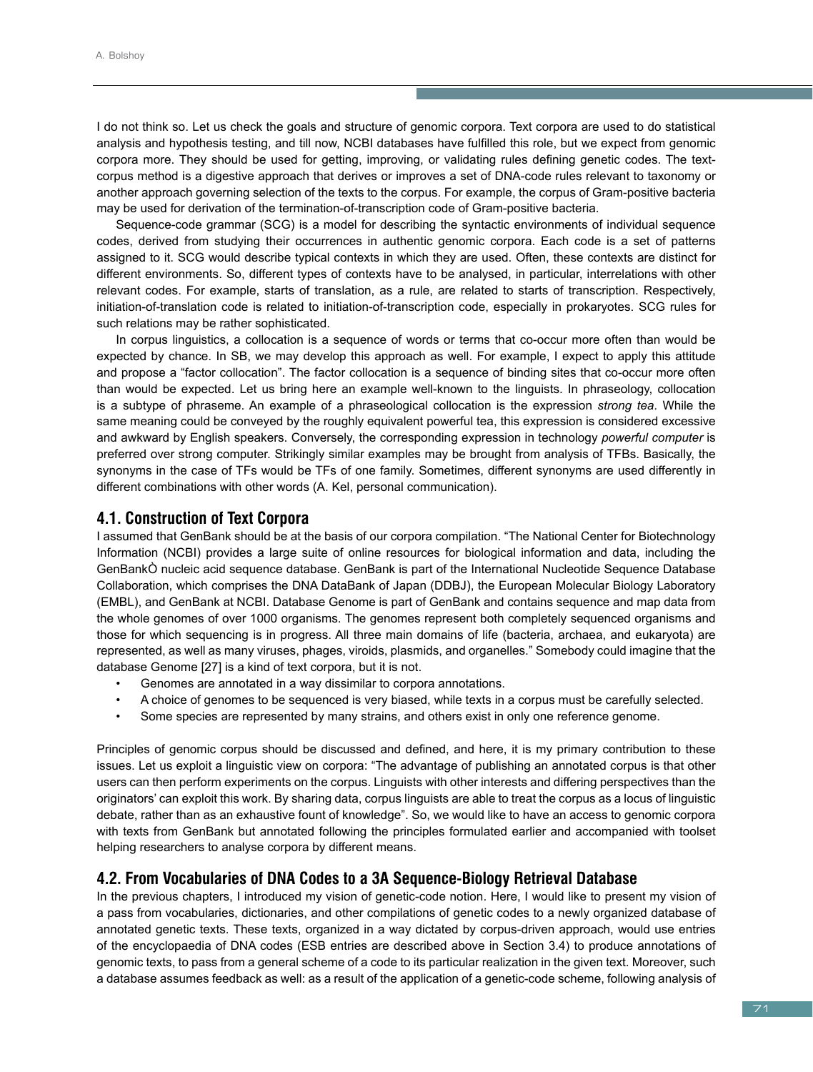I do not think so. Let us check the goals and structure of genomic corpora. Text corpora are used to do statistical analysis and hypothesis testing, and till now, NCBI databases have fulfilled this role, but we expect from genomic corpora more. They should be used for getting, improving, or validating rules defining genetic codes. The textcorpus method is a digestive approach that derives or improves a set of DNA-code rules relevant to taxonomy or another approach governing selection of the texts to the corpus. For example, the corpus of Gram-positive bacteria may be used for derivation of the termination-of-transcription code of Gram-positive bacteria.

Sequence-code grammar (SCG) is a model for describing the syntactic environments of individual sequence codes, derived from studying their occurrences in authentic genomic corpora. Each code is a set of patterns assigned to it. SCG would describe typical contexts in which they are used. Often, these contexts are distinct for different environments. So, different types of contexts have to be analysed, in particular, interrelations with other relevant codes. For example, starts of translation, as a rule, are related to starts of transcription. Respectively, initiation-of-translation code is related to initiation-of-transcription code, especially in prokaryotes. SCG rules for such relations may be rather sophisticated.

In corpus linguistics, a collocation is a sequence of words or terms that co-occur more often than would be expected by chance. In SB, we may develop this approach as well. For example, I expect to apply this attitude and propose a "factor collocation". The factor collocation is a sequence of binding sites that co-occur more often than would be expected. Let us bring here an example well-known to the linguists. In phraseology, collocation is a subtype of phraseme. An example of a phraseological collocation is the expression *strong tea*. While the same meaning could be conveyed by the roughly equivalent powerful tea, this expression is considered excessive and awkward by English speakers. Conversely, the corresponding expression in technology *powerful computer* is preferred over strong computer. Strikingly similar examples may be brought from analysis of TFBs. Basically, the synonyms in the case of TFs would be TFs of one family. Sometimes, different synonyms are used differently in different combinations with other words (A. Kel, personal communication).

## **4.1. Construction of Text Corpora**

I assumed that GenBank should be at the basis of our corpora compilation. "The National Center for Biotechnology Information (NCBI) provides a large suite of online resources for biological information and data, including the GenBankÒ nucleic acid sequence database. GenBank is part of the International Nucleotide Sequence Database Collaboration, which comprises the DNA DataBank of Japan (DDBJ), the European Molecular Biology Laboratory (EMBL), and GenBank at NCBI. Database Genome is part of GenBank and contains sequence and map data from the whole genomes of over 1000 organisms. The genomes represent both completely sequenced organisms and those for which sequencing is in progress. All three main domains of life (bacteria, archaea, and eukaryota) are represented, as well as many viruses, phages, viroids, plasmids, and organelles." Somebody could imagine that the database Genome [27] is a kind of text corpora, but it is not.

- Genomes are annotated in a way dissimilar to corpora annotations.
- A choice of genomes to be sequenced is very biased, while texts in a corpus must be carefully selected.
- Some species are represented by many strains, and others exist in only one reference genome.

Principles of genomic corpus should be discussed and defined, and here, it is my primary contribution to these issues. Let us exploit a linguistic view on corpora: "The advantage of publishing an annotated corpus is that other users can then perform experiments on the corpus. Linguists with other interests and differing perspectives than the originators' can exploit this work. By sharing data, corpus linguists are able to treat the corpus as a locus of linguistic debate, rather than as an exhaustive fount of knowledge". So, we would like to have an access to genomic corpora with texts from GenBank but annotated following the principles formulated earlier and accompanied with toolset helping researchers to analyse corpora by different means.

#### **4.2. From Vocabularies of DNA Codes to a 3A Sequence-Biology Retrieval Database**

In the previous chapters, I introduced my vision of genetic-code notion. Here, I would like to present my vision of a pass from vocabularies, dictionaries, and other compilations of genetic codes to a newly organized database of annotated genetic texts. These texts, organized in a way dictated by corpus-driven approach, would use entries of the encyclopaedia of DNA codes (ESB entries are described above in Section 3.4) to produce annotations of genomic texts, to pass from a general scheme of a code to its particular realization in the given text. Moreover, such a database assumes feedback as well: as a result of the application of a genetic-code scheme, following analysis of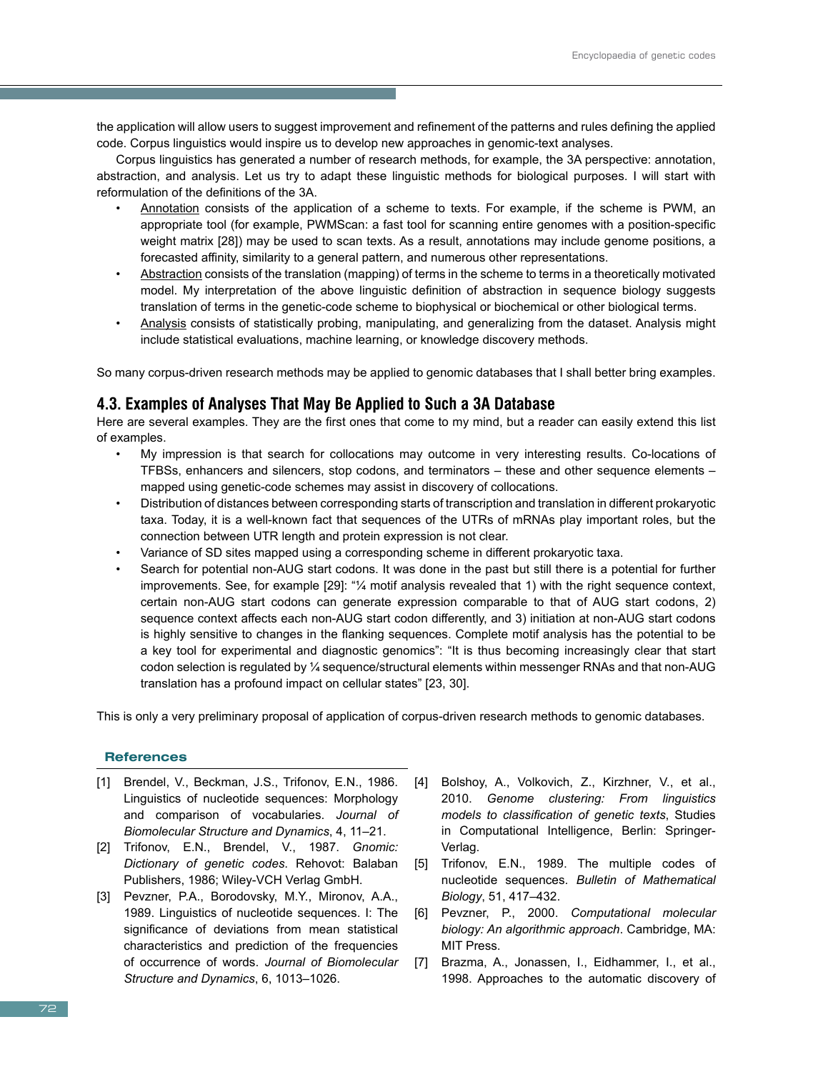the application will allow users to suggest improvement and refinement of the patterns and rules defining the applied code. Corpus linguistics would inspire us to develop new approaches in genomic-text analyses.

Corpus linguistics has generated a number of research methods, for example, the 3A perspective: annotation, abstraction, and analysis. Let us try to adapt these linguistic methods for biological purposes. I will start with reformulation of the definitions of the 3A.

- Annotation consists of the application of a scheme to texts. For example, if the scheme is PWM, an appropriate tool (for example, PWMScan: a fast tool for scanning entire genomes with a position-specific weight matrix [28]) may be used to scan texts. As a result, annotations may include genome positions, a forecasted affinity, similarity to a general pattern, and numerous other representations.
- Abstraction consists of the translation (mapping) of terms in the scheme to terms in a theoretically motivated model. My interpretation of the above linguistic definition of abstraction in sequence biology suggests translation of terms in the genetic-code scheme to biophysical or biochemical or other biological terms.
- Analysis consists of statistically probing, manipulating, and generalizing from the dataset. Analysis might include statistical evaluations, machine learning, or knowledge discovery methods.

So many corpus-driven research methods may be applied to genomic databases that I shall better bring examples.

# **4.3. Examples of Analyses That May Be Applied to Such a 3A Database**

Here are several examples. They are the first ones that come to my mind, but a reader can easily extend this list of examples.

- My impression is that search for collocations may outcome in very interesting results. Co-locations of TFBSs, enhancers and silencers, stop codons, and terminators – these and other sequence elements – mapped using genetic-code schemes may assist in discovery of collocations.
- Distribution of distances between corresponding starts of transcription and translation in different prokaryotic taxa. Today, it is a well-known fact that sequences of the UTRs of mRNAs play important roles, but the connection between UTR length and protein expression is not clear.
- Variance of SD sites mapped using a corresponding scheme in different prokaryotic taxa.
- Search for potential non-AUG start codons. It was done in the past but still there is a potential for further improvements. See, for example [29]: "¼ motif analysis revealed that 1) with the right sequence context, certain non-AUG start codons can generate expression comparable to that of AUG start codons, 2) sequence context affects each non-AUG start codon differently, and 3) initiation at non-AUG start codons is highly sensitive to changes in the flanking sequences. Complete motif analysis has the potential to be a key tool for experimental and diagnostic genomics": "It is thus becoming increasingly clear that start codon selection is regulated by ¼ sequence/structural elements within messenger RNAs and that non-AUG translation has a profound impact on cellular states" [23, 30].

This is only a very preliminary proposal of application of corpus-driven research methods to genomic databases.

#### **References**

- [1] Brendel, V., Beckman, J.S., Trifonov, E.N., 1986. Linguistics of nucleotide sequences: Morphology and comparison of vocabularies. *Journal of Biomolecular Structure and Dynamics*, 4, 11–21.
- [2] Trifonov, E.N., Brendel, V., 1987. *Gnomic: Dictionary of genetic codes*. Rehovot: Balaban Publishers, 1986; Wiley-VCH Verlag GmbH.
- [3] Pevzner, P.A., Borodovsky, M.Y., Mironov, A.A., 1989. Linguistics of nucleotide sequences. I: The significance of deviations from mean statistical characteristics and prediction of the frequencies of occurrence of words. *Journal of Biomolecular Structure and Dynamics*, 6, 1013–1026.
- [4] Bolshoy, A., Volkovich, Z., Kirzhner, V., et al., 2010. *Genome clustering: From linguistics models to classification of genetic texts*, Studies in Computational Intelligence, Berlin: Springer-Verlag.
- [5] Trifonov, E.N., 1989. The multiple codes of nucleotide sequences. *Bulletin of Mathematical Biology*, 51, 417–432.
- [6] Pevzner, P., 2000. *Computational molecular biology: An algorithmic approach*. Cambridge, MA: MIT Press.
- [7] Brazma, A., Jonassen, I., Eidhammer, I., et al., 1998. Approaches to the automatic discovery of